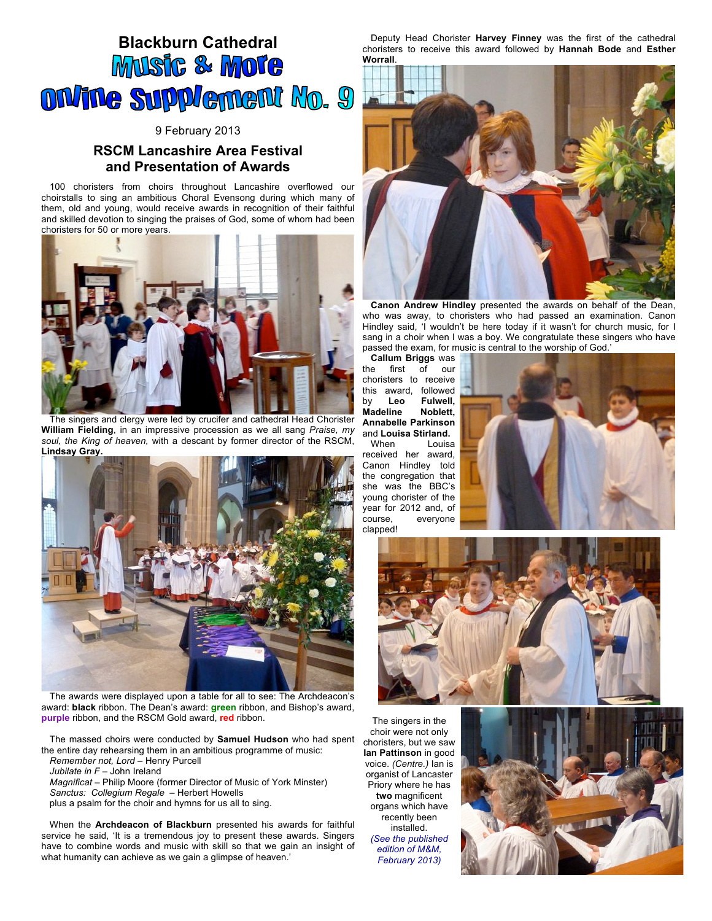## **Blackburn Cathedral Music & Mote** ON/The Supplement No. 9

## 9 February 2013

## **RSCM Lancashire Area Festival and Presentation of Awards**

100 choristers from choirs throughout Lancashire overflowed our choirstalls to sing an ambitious Choral Evensong during which many of them, old and young, would receive awards in recognition of their faithful and skilled devotion to singing the praises of God, some of whom had been choristers for 50 or more years.



The singers and clergy were led by crucifer and cathedral Head Chorister **William Fielding**, in an impressive procession as we all sang *Praise, my soul, the King of heaven,* with a descant by former director of the RSCM, **Lindsay Gray.**



The awards were displayed upon a table for all to see: The Archdeacon's award: **black** ribbon. The Dean's award: **green** ribbon, and Bishop's award, **purple** ribbon, and the RSCM Gold award, **red** ribbon.

The massed choirs were conducted by **Samuel Hudson** who had spent the entire day rehearsing them in an ambitious programme of music: *Remember not, Lord* – Henry Purcell

*Jubilate in F* – John Ireland

*Magnificat* – Philip Moore (former Director of Music of York Minster) *Sanctus: Collegium Regale* – Herbert Howells plus a psalm for the choir and hymns for us all to sing.

When the **Archdeacon of Blackburn** presented his awards for faithful service he said, 'It is a tremendous joy to present these awards. Singers have to combine words and music with skill so that we gain an insight of what humanity can achieve as we gain a glimpse of heaven.'

Deputy Head Chorister **Harvey Finney** was the first of the cathedral choristers to receive this award followed by **Hannah Bode** and **Esther Worrall**.



**Canon Andrew Hindley** presented the awards on behalf of the Dean, who was away, to choristers who had passed an examination. Canon Hindley said, 'I wouldn't be here today if it wasn't for church music, for I sang in a choir when I was a boy. We congratulate these singers who have passed the exam, for music is central to the worship of God.'

**Callum Briggs** was the first of our choristers to receive this award, followed by **Leo Fulwell, Madeline Noblett, Annabelle Parkinson** and **Louisa Stirland.**

When Louisa received her award, Canon Hindley told the congregation that she was the BBC's young chorister of the year for 2012 and, of course, everyone clapped!





The singers in the choir were not only choristers, but we saw **Ian Pattinson** in good voice. *(Centre.)* Ian is organist of Lancaster Priory where he has **two** magnificent organs which have recently been installed. *(See the published edition of M&M, February 2013)*